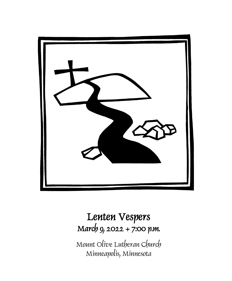

## Lenten Vespers March 9, 2022 + 7:00 p.m.

Mount Olive Lutheran Church Minneapolis, Minnesota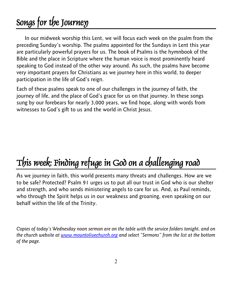## Songs for the Journey

In our midweek worship this Lent, we will focus each week on the psalm from the preceding Sunday's worship. The psalms appointed for the Sundays in Lent this year are particularly powerful prayers for us. The book of Psalms is the hymnbook of the Bible and the place in Scripture where the human voice is most prominently heard speaking to God instead of the other way around. As such, the psalms have become very important prayers for Christians as we journey here in this world, to deeper participation in the life of God's reign.

Each of these psalms speak to one of our challenges in the journey of faith, the journey of life, and the place of God's grace for us on that journey. In these songs sung by our forebears for nearly 3,000 years, we find hope, along with words from witnesses to God's gift to us and the world in Christ Jesus.

# This week: Finding refuge in God on a challenging road

As we journey in faith, this world presents many threats and challenges. How are we to be safe? Protected? Psalm 91 urges us to put all our trust in God who is our shelter and strength, and who sends ministering angels to care for us. And, as Paul reminds, who through the Spirit helps us in our weakness and groaning, even speaking on our behalf within the life of the Trinity.

*Copies of today's Wednesday noon sermon are on the table with the service folders tonight, and on the church website at [www.mountolivechurch.org](http://www.mountolivechurch.org/) and select "Sermons" from the list at the bottom of the page.*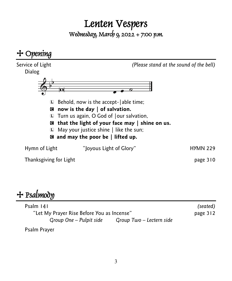# Lenten Vespers<br>Wednesday, March 9, 2022 + 7:00 p.m.



## $+$  Psalmody

| Psalm 141                                  |                          | (seated) |
|--------------------------------------------|--------------------------|----------|
| "Let My Prayer Rise Before You as Incense" |                          | page 312 |
| Group One – Pulpit side                    | Group Two – Lectern side |          |

Psalm Prayer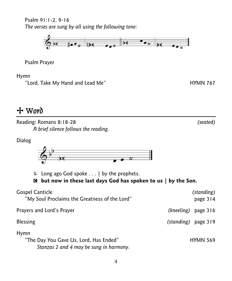Psalm 91:1-2, 9-16 *The verses are sung by all using the following tone:*



Psalm Prayer

Hymn

"Lord, Take My Hand and Lead Me" The Controller of the HYMN 767

+ Word

Reading: Romans 8:18-28 *(seated) A brief silence follows the reading.*

Dialog



 $\Box$  Long ago God spoke . . . | by the prophets.

C **but now in these last days God has spoken to us | by the Son.**

| <b>Gospel Canticle</b><br>"My Soul Proclaims the Greatness of the Lord"                   | (standing)<br>page 314 |
|-------------------------------------------------------------------------------------------|------------------------|
| Prayers and Lord's Prayer                                                                 | (kneeling)<br>page 316 |
| <b>Blessing</b>                                                                           | (standing) page 319    |
| Hymn<br>"The Day You Gave Us, Lord, Has Ended"<br>Stanzas 2 and 4 may be sung in harmony. | <b>HYMN 569</b>        |